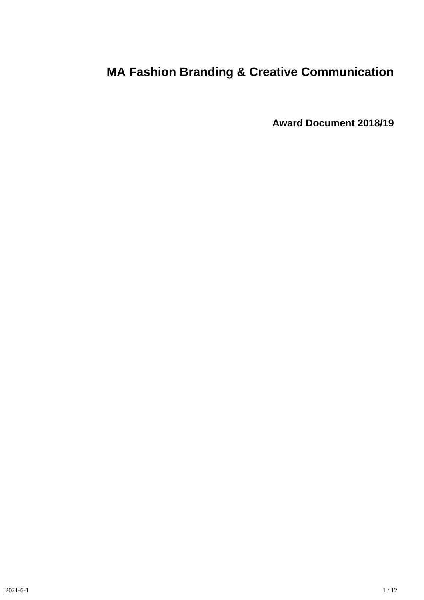# **MA Fashion Branding & Creative Communication**

**Award Document 2018/19**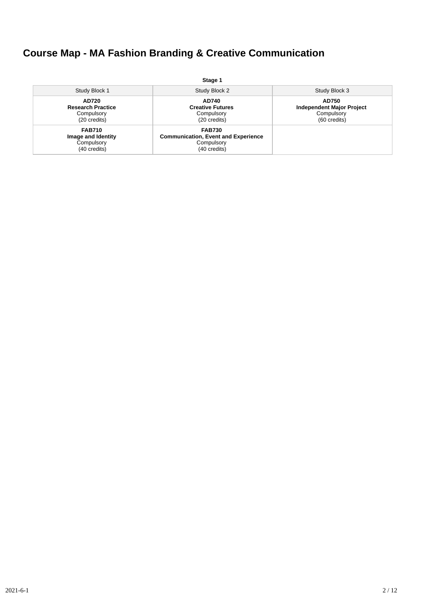## **Course Map - MA Fashion Branding & Creative Communication**

|                                                                   | Stage 1                                                                                   |                                                                         |
|-------------------------------------------------------------------|-------------------------------------------------------------------------------------------|-------------------------------------------------------------------------|
| Study Block 1                                                     | Study Block 2                                                                             | Study Block 3                                                           |
| AD720<br><b>Research Practice</b><br>Compulsory<br>(20 credits)   | AD740<br><b>Creative Futures</b><br>Compulsory<br>(20 credits)                            | AD750<br><b>Independent Major Project</b><br>Compulsory<br>(60 credits) |
| <b>FAB710</b><br>Image and Identity<br>Compulsory<br>(40 credits) | <b>FAB730</b><br><b>Communication, Event and Experience</b><br>Compulsory<br>(40 credits) |                                                                         |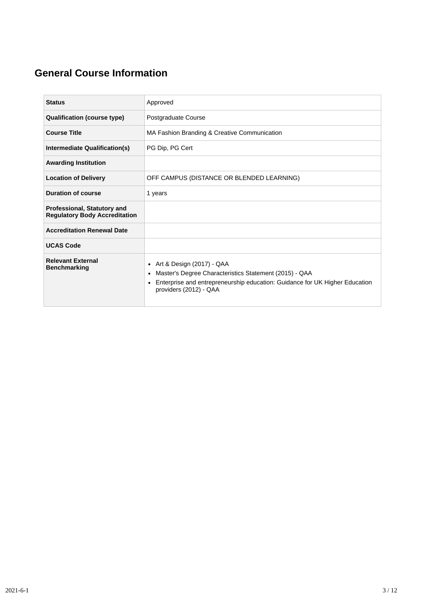## **General Course Information**

| <b>Status</b>                                                              | Approved                                                                                                                                                                                                            |  |  |  |  |
|----------------------------------------------------------------------------|---------------------------------------------------------------------------------------------------------------------------------------------------------------------------------------------------------------------|--|--|--|--|
| <b>Qualification (course type)</b>                                         | Postgraduate Course                                                                                                                                                                                                 |  |  |  |  |
| <b>Course Title</b>                                                        | MA Fashion Branding & Creative Communication                                                                                                                                                                        |  |  |  |  |
| Intermediate Qualification(s)                                              | PG Dip, PG Cert                                                                                                                                                                                                     |  |  |  |  |
| <b>Awarding Institution</b>                                                |                                                                                                                                                                                                                     |  |  |  |  |
| <b>Location of Delivery</b>                                                | OFF CAMPUS (DISTANCE OR BLENDED LEARNING)                                                                                                                                                                           |  |  |  |  |
| <b>Duration of course</b>                                                  | 1 years                                                                                                                                                                                                             |  |  |  |  |
| <b>Professional, Statutory and</b><br><b>Regulatory Body Accreditation</b> |                                                                                                                                                                                                                     |  |  |  |  |
| <b>Accreditation Renewal Date</b>                                          |                                                                                                                                                                                                                     |  |  |  |  |
| <b>UCAS Code</b>                                                           |                                                                                                                                                                                                                     |  |  |  |  |
| <b>Relevant External</b><br><b>Benchmarking</b>                            | Art & Design (2017) - QAA<br>٠<br>Master's Degree Characteristics Statement (2015) - QAA<br>٠<br>Enterprise and entrepreneurship education: Guidance for UK Higher Education<br>$\bullet$<br>providers (2012) - QAA |  |  |  |  |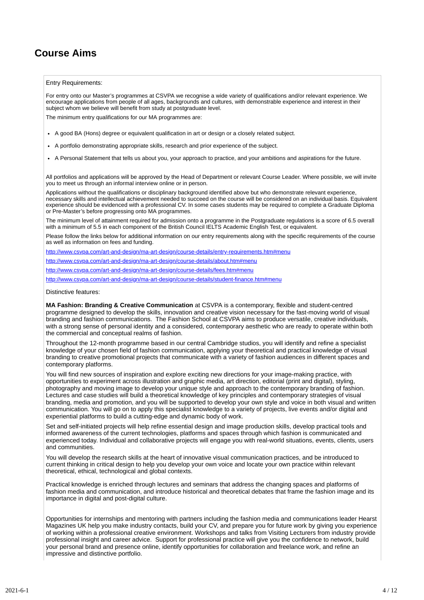### **Course Aims**

#### Entry Requirements:

For entry onto our Master's programmes at CSVPA we recognise a wide variety of qualifications and/or relevant experience. We encourage applications from people of all ages, backgrounds and cultures, with demonstrable experience and interest in their subject whom we believe will benefit from study at postgraduate level.

The minimum entry qualifications for our MA programmes are:

- A good BA (Hons) degree or equivalent qualification in art or design or a closely related subject.
- A portfolio demonstrating appropriate skills, research and prior experience of the subject.
- A Personal Statement that tells us about you, your approach to practice, and your ambitions and aspirations for the future.

All portfolios and applications will be approved by the Head of Department or relevant Course Leader. Where possible, we will invite you to meet us through an informal interview online or in person.

Applications without the qualifications or disciplinary background identified above but who demonstrate relevant experience, necessary skills and intellectual achievement needed to succeed on the course will be considered on an individual basis. Equivalent experience should be evidenced with a professional CV. In some cases students may be required to complete a Graduate Diploma or Pre-Master's before progressing onto MA programmes.

The minimum level of attainment required for admission onto a programme in the Postgraduate regulations is a score of 6.5 overall with a minimum of 5.5 in each component of the British Council IELTS Academic English Test, or equivalent.

Please follow the links below for additional information on our entry requirements along with the specific requirements of the course as well as information on fees and funding.

www.csvpa.com/art-and-design/ma-art-design/course-details/entry-requirements.htm#menu

<http://www.csvpa.com/art-and-design/ma-art-design/course-details/about.htm#menu>

<http://www.csvpa.com/art-and-design/ma-art-design/course-details/fees.htm#menu>

<http://www.csvpa.com/art-and-design/ma-art-design/course-details/student-finance.htm#menu>

#### Distinctive features:

**MA Fashion: Branding & Creative Communication** at CSVPA is a contemporary, flexible and student-centred programme designed to develop the skills, innovation and creative vision necessary for the fast-moving world of visual branding and fashion communications. The Fashion School at CSVPA aims to produce versatile, creative individuals, with a strong sense of personal identity and a considered, contemporary aesthetic who are ready to operate within both the commercial and conceptual realms of fashion.

Throughout the 12-month programme based in our central Cambridge studios, you will identify and refine a specialist knowledge of your chosen field of fashion communication, applying your theoretical and practical knowledge of visual branding to creative promotional projects that communicate with a variety of fashion audiences in different spaces and contemporary platforms.

You will find new sources of inspiration and explore exciting new directions for your image-making practice, with opportunities to experiment across illustration and graphic media, art direction, editorial (print and digital), styling, photography and moving image to develop your unique style and approach to the contemporary branding of fashion. Lectures and case studies will build a theoretical knowledge of key principles and contemporary strategies of visual branding, media and promotion, and you will be supported to develop your own style and voice in both visual and written communication. You will go on to apply this specialist knowledge to a variety of projects, live events and/or digital and experiential platforms to build a cutting-edge and dynamic body of work.

Set and self-initiated projects will help refine essential design and image production skills, develop practical tools and informed awareness of the current technologies, platforms and spaces through which fashion is communicated and experienced today. Individual and collaborative projects will engage you with real-world situations, events, clients, users and communities.

You will develop the research skills at the heart of innovative visual communication practices, and be introduced to current thinking in critical design to help you develop your own voice and locate your own practice within relevant theoretical, ethical, technological and global contexts.

Practical knowledge is enriched through lectures and seminars that address the changing spaces and platforms of fashion media and communication, and introduce historical and theoretical debates that frame the fashion image and its importance in digital and post-digital culture.

Opportunities for internships and mentoring with partners including the fashion media and communications leader Hearst Magazines UK help you make industry contacts, build your CV, and prepare you for future work by giving you experience of working within a professional creative environment. Workshops and talks from Visiting Lecturers from industry provide professional insight and career advice. Support for professional practice will give you the confidence to network, build your personal brand and presence online, identify opportunities for collaboration and freelance work, and refine an impressive and distinctive portfolio.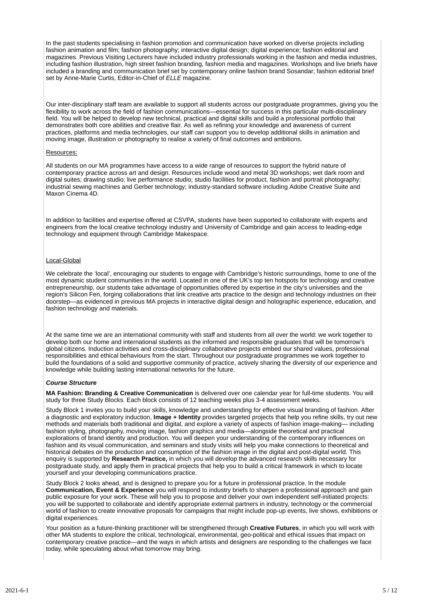In the past students specialising in fashion promotion and communication have worked on diverse projects including fashion animation and film; fashion photography; interactive digital design; digital experience; fashion editorial and magazines. Previous Visiting Lecturers have included industry professionals working in the fashion and media industries, including fashion illustration, high street fashion branding, fashion media and magazines. Workshops and live briefs have included a branding and communication brief set by contemporary online fashion brand Sosandar; fashion editorial brief set by Anne-Marie Curtis, Editor-in-Chief of *ELLE* magazine.

Our inter-disciplinary staff team are available to support all students across our postgraduate programmes, giving you the flexibility to work across the field of fashion communications—essential for success in this particular multi-disciplinary field. You will be helped to develop new technical, practical and digital skills and build a professional portfolio that demonstrates both core abilities and creative flair. As well as refining your knowledge and awareness of current practices, platforms and media technologies, our staff can support you to develop additional skills in animation and moving image, illustration or photography to realise a variety of final outcomes and ambitions.

#### Resources:

All students on our MA programmes have access to a wide range of resources to support the hybrid nature of contemporary practice across art and design. Resources include wood and metal 3D workshops; wet dark room and digital suites; drawing studio; live performance studio; studio facilities for product, fashion and portrait photography; industrial sewing machines and Gerber technology; industry-standard software including Adobe Creative Suite and Maxon Cinema 4D.

In addition to facilities and expertise offered at CSVPA, students have been supported to collaborate with experts and engineers from the local creative technology industry and University of Cambridge and gain access to leading-edge technology and equipment through Cambridge Makespace.

#### Local-Global

We celebrate the 'local', encouraging our students to engage with Cambridge's historic surroundings, home to one of the most dynamic student communities in the world. Located in one of the UK's top ten hotspots for technology and creative entrepreneurship, our students take advantage of opportunities offered by expertise in the city's universities and the region's Silicon Fen, forging collaborations that link creative arts practice to the design and technology industries on their doorstep—as evidenced in previous MA projects in interactive digital design and holographic experience, education, and fashion technology and materials.

At the same time we are an international community with staff and students from all over the world: we work together to develop both our home and international students as the informed and responsible graduates that will be tomorrow's global citizens. Induction activities and cross-disciplinary collaborative projects embed our shared values, professional responsibilities and ethical behaviours from the start. Throughout our postgraduate programmes we work together to build the foundations of a solid and supportive community of practice, actively sharing the diversity of our experience and knowledge while building lasting international networks for the future.

#### *Course Structure*

**MA Fashion: Branding & Creative Communication** is delivered over one calendar year for full-time students. You will study for three Study Blocks. Each block consists of 12 teaching weeks plus 3-4 assessment weeks.

Study Block 1 invites you to build your skills, knowledge and understanding for effective visual branding of fashion. After a diagnostic and exploratory induction, **Image + Identity** provides targeted projects that help you refine skills, try out new methods and materials both traditional and digital, and explore a variety of aspects of fashion image-making— including fashion styling, photography, moving image, fashion graphics and media—alongside theoretical and practical explorations of brand identity and production. You will deepen your understanding of the contemporary influences on fashion and its visual communication, and seminars and study visits will help you make connections to theoretical and historical debates on the production and consumption of the fashion image in the digital and post-digital world. This enquiry is supported by **Research Practice,** in which you will develop the advanced research skills necessary for postgraduate study, and apply them in practical projects that help you to build a critical framework in which to locate yourself and your developing communications practice.

Study Block 2 looks ahead, and is designed to prepare you for a future in professional practice. In the module **Communication, Event & Experience** you will respond to industry briefs to sharpen a professional approach and gain public exposure for your work. These will help you to propose and deliver your own independent self-initiated projects: you will be supported to collaborate and identify appropriate external partners in industry, technology or the commercial world of fashion to create innovative proposals for campaigns that might include pop-up events, live shows, exhibitions or digital experiences.

Your position as a future-thinking practitioner will be strengthened through **Creative Futures**, in which you will work with other MA students to explore the critical, technological, environmental, geo-political and ethical issues that impact on contemporary creative practice—and the ways in which artists and designers are responding to the challenges we face today, while speculating about what tomorrow may bring.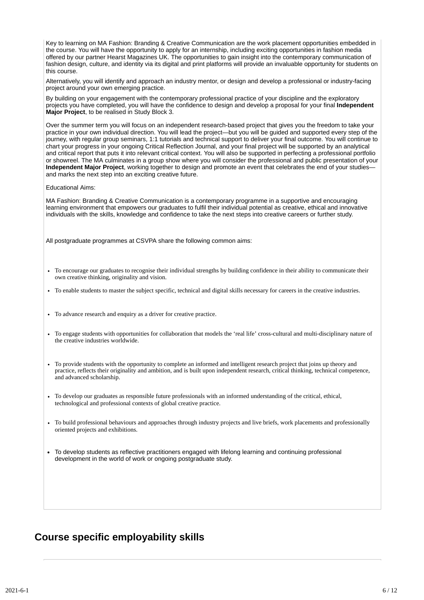Key to learning on MA Fashion: Branding & Creative Communication are the work placement opportunities embedded in the course. You will have the opportunity to apply for an internship, including exciting opportunities in fashion media offered by our partner Hearst Magazines UK. The opportunities to gain insight into the contemporary communication of fashion design, culture, and identity via its digital and print platforms will provide an invaluable opportunity for students on this course.

Alternatively, you will identify and approach an industry mentor, or design and develop a professional or industry-facing project around your own emerging practice.

By building on your engagement with the contemporary professional practice of your discipline and the exploratory projects you have completed, you will have the confidence to design and develop a proposal for your final **Independent Major Project**, to be realised in Study Block 3.

Over the summer term you will focus on an independent research-based project that gives you the freedom to take your practice in your own individual direction. You will lead the project—but you will be guided and supported every step of the journey, with regular group seminars, 1:1 tutorials and technical support to deliver your final outcome. You will continue to chart your progress in your ongoing Critical Reflection Journal, and your final project will be supported by an analytical and critical report that puts it into relevant critical context. You will also be supported in perfecting a professional portfolio or showreel. The MA culminates in a group show where you will consider the professional and public presentation of your **Independent Major Project**, working together to design and promote an event that celebrates the end of your studies and marks the next step into an exciting creative future.

#### Educational Aims:

MA Fashion: Branding & Creative Communication is a contemporary programme in a supportive and encouraging learning environment that empowers our graduates to fulfil their individual potential as creative, ethical and innovative individuals with the skills, knowledge and confidence to take the next steps into creative careers or further study.

All postgraduate programmes at CSVPA share the following common aims:

- To encourage our graduates to recognise their individual strengths by building confidence in their ability to communicate their own creative thinking, originality and vision.
- To enable students to master the subject specific, technical and digital skills necessary for careers in the creative industries.
- To advance research and enquiry as a driver for creative practice.
- To engage students with opportunities for collaboration that models the 'real life' cross-cultural and multi-disciplinary nature of the creative industries worldwide.
- To provide students with the opportunity to complete an informed and intelligent research project that joins up theory and practice, reflects their originality and ambition, and is built upon independent research, critical thinking, technical competence, and advanced scholarship.
- To develop our graduates as responsible future professionals with an informed understanding of the critical, ethical, technological and professional contexts of global creative practice.
- To build professional behaviours and approaches through industry projects and live briefs, work placements and professionally oriented projects and exhibitions.
- To develop students as reflective practitioners engaged with lifelong learning and continuing professional development in the world of work or ongoing postgraduate study.

### **Course specific employability skills**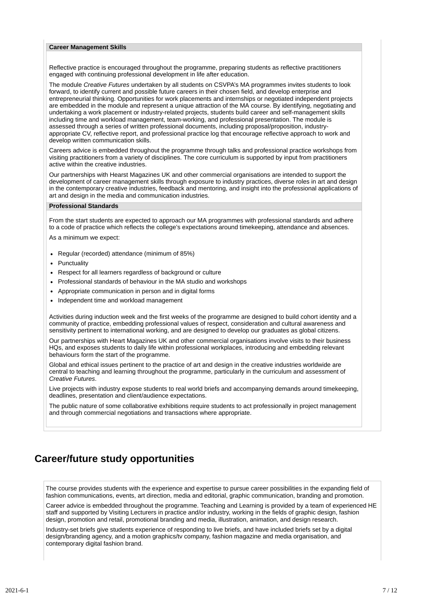#### **Career Management Skills**

Reflective practice is encouraged throughout the programme, preparing students as reflective practitioners engaged with continuing professional development in life after education.

The module *Creative Futures* undertaken by all students on CSVPA's MA programmes invites students to look forward, to identify current and possible future careers in their chosen field, and develop enterprise and entrepreneurial thinking. Opportunities for work placements and internships or negotiated independent projects are embedded in the module and represent a unique attraction of the MA course. By identifying, negotiating and undertaking a work placement or industry-related projects, students build career and self-management skills including time and workload management, team-working, and professional presentation. The module is assessed through a series of written professional documents, including proposal/proposition, industryappropriate CV, reflective report, and professional practice log that encourage reflective approach to work and develop written communication skills.

Careers advice is embedded throughout the programme through talks and professional practice workshops from visiting practitioners from a variety of disciplines. The core curriculum is supported by input from practitioners active within the creative industries.

Our partnerships with Hearst Magazines UK and other commercial organisations are intended to support the development of career management skills through exposure to industry practices, diverse roles in art and design in the contemporary creative industries, feedback and mentoring, and insight into the professional applications of art and design in the media and communication industries.

#### **Professional Standards**

From the start students are expected to approach our MA programmes with professional standards and adhere to a code of practice which reflects the college's expectations around timekeeping, attendance and absences.

As a minimum we expect:

- Regular (recorded) attendance (minimum of 85%)
- Punctuality
- Respect for all learners regardless of background or culture  $\bullet$
- Professional standards of behaviour in the MA studio and workshops
- Appropriate communication in person and in digital forms
- Independent time and workload management

Activities during induction week and the first weeks of the programme are designed to build cohort identity and a community of practice, embedding professional values of respect, consideration and cultural awareness and sensitivity pertinent to international working, and are designed to develop our graduates as global citizens.

Our partnerships with Heart Magazines UK and other commercial organisations involve visits to their business HQs, and exposes students to daily life within professional workplaces, introducing and embedding relevant behaviours form the start of the programme.

Global and ethical issues pertinent to the practice of art and design in the creative industries worldwide are central to teaching and learning throughout the programme, particularly in the curriculum and assessment of *Creative Futures*.

Live projects with industry expose students to real world briefs and accompanying demands around timekeeping, deadlines, presentation and client/audience expectations.

The public nature of some collaborative exhibitions require students to act professionally in project management and through commercial negotiations and transactions where appropriate.

### **Career/future study opportunities**

The course provides students with the experience and expertise to pursue career possibilities in the expanding field of fashion communications, events, art direction, media and editorial, graphic communication, branding and promotion.

Career advice is embedded throughout the programme. Teaching and Learning is provided by a team of experienced HE staff and supported by Visiting Lecturers in practice and/or industry, working in the fields of graphic design, fashion design, promotion and retail, promotional branding and media, illustration, animation, and design research.

Industry-set briefs give students experience of responding to live briefs, and have included briefs set by a digital design/branding agency, and a motion graphics/tv company, fashion magazine and media organisation, and contemporary digital fashion brand.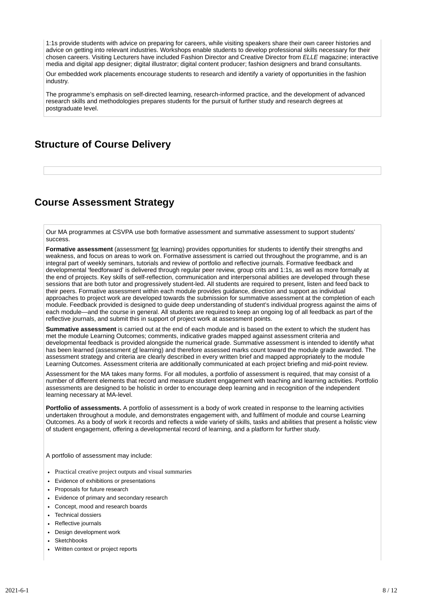1:1s provide students with advice on preparing for careers, while visiting speakers share their own career histories and advice on getting into relevant industries. Workshops enable students to develop professional skills necessary for their chosen careers. Visiting Lecturers have included Fashion Director and Creative Director from *ELLE* magazine; interactive media and digital app designer; digital illustrator; digital content producer; fashion designers and brand consultants.

Our embedded work placements encourage students to research and identify a variety of opportunities in the fashion industry.

The programme's emphasis on self-directed learning, research-informed practice, and the development of advanced research skills and methodologies prepares students for the pursuit of further study and research degrees at postgraduate level.

### **Structure of Course Delivery**

### **Course Assessment Strategy**

Our MA programmes at CSVPA use both formative assessment and summative assessment to support students' success.

**Formative assessment** (assessment for learning) provides opportunities for students to identify their strengths and weakness, and focus on areas to work on. Formative assessment is carried out throughout the programme, and is an integral part of weekly seminars, tutorials and review of portfolio and reflective journals. Formative feedback and developmental 'feedforward' is delivered through regular peer review, group crits and 1:1s, as well as more formally at the end of projects. Key skills of self-reflection, communication and interpersonal abilities are developed through these sessions that are both tutor and progressively student-led. All students are required to present, listen and feed back to their peers. Formative assessment within each module provides guidance, direction and support as individual approaches to project work are developed towards the submission for summative assessment at the completion of each module. Feedback provided is designed to guide deep understanding of student's individual progress against the aims of each module—and the course in general. All students are required to keep an ongoing log of all feedback as part of the reflective journals, and submit this in support of project work at assessment points.

**Summative assessment** is carried out at the end of each module and is based on the extent to which the student has met the module Learning Outcomes; comments, indicative grades mapped against assessment criteria and developmental feedback is provided alongside the numerical grade. Summative assessment is intended to identify what has been learned (assessment of learning) and therefore assessed marks count toward the module grade awarded. The assessment strategy and criteria are clearly described in every written brief and mapped appropriately to the module Learning Outcomes. Assessment criteria are additionally communicated at each project briefing and mid-point review.

Assessment for the MA takes many forms. For all modules, a portfolio of assessment is required, that may consist of a number of different elements that record and measure student engagement with teaching and learning activities. Portfolio assessments are designed to be holistic in order to encourage deep learning and in recognition of the independent learning necessary at MA-level.

**Portfolio of assessments.** A portfolio of assessment is a body of work created in response to the learning activities undertaken throughout a module, and demonstrates engagement with, and fulfilment of module and course Learning Outcomes. As a body of work it records and reflects a wide variety of skills, tasks and abilities that present a holistic view of student engagement, offering a developmental record of learning, and a platform for further study.

A portfolio of assessment may include:

- Practical creative project outputs and visual summaries
- Evidence of exhibitions or presentations
- Proposals for future research
- Evidence of primary and secondary research
- Concept, mood and research boards
- Technical dossiers
- Reflective journals
- Design development work
- **Sketchbooks**
- Written context or project reports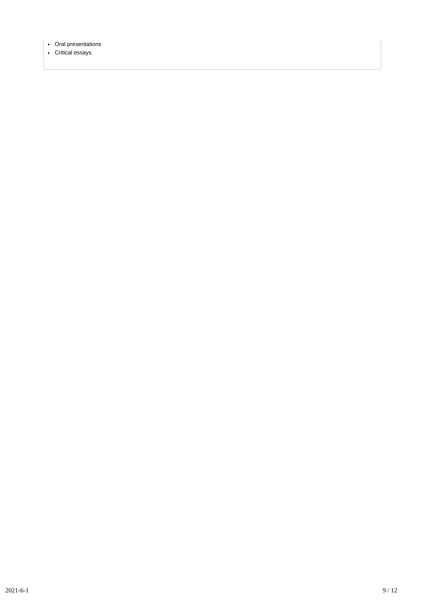- Oral presentations
- Critical essays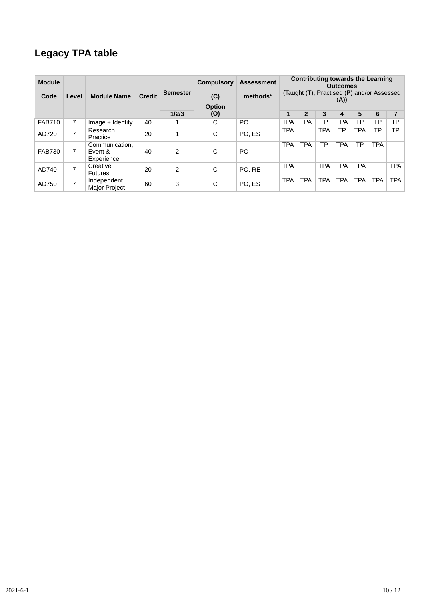## **Legacy TPA table**

| <b>Module</b> |                          |                                         |               |                 | <b>Compulsory</b> | <b>Assessment</b> |            |                | <b>Contributing towards the Learning</b>        | <b>Outcomes</b> |            |            |            |
|---------------|--------------------------|-----------------------------------------|---------------|-----------------|-------------------|-------------------|------------|----------------|-------------------------------------------------|-----------------|------------|------------|------------|
| Code          | Level                    | <b>Module Name</b>                      | <b>Credit</b> | <b>Semester</b> | (C)               | methods*          |            |                | (Taught $(T)$ , Practised $(P)$ and/or Assessed | (A))            |            |            |            |
|               |                          |                                         |               | 1/2/3           | Option<br>(O)     |                   | 1          | $\overline{2}$ | 3                                               | 4               | 5          | 6          |            |
| <b>FAB710</b> | 7                        | Image + Identity                        | 40            |                 | C                 | PO.               | <b>TPA</b> | <b>TPA</b>     | ТP                                              | <b>TPA</b>      | <b>TP</b>  | ТP         | ТP         |
|               |                          |                                         |               |                 |                   |                   |            |                |                                                 |                 |            |            |            |
| AD720         | $\overline{ }$           | Research<br>Practice                    | 20            |                 | C                 | PO. ES            | <b>TPA</b> |                | <b>TPA</b>                                      | ТP              | <b>TPA</b> | TP         | <b>TP</b>  |
| <b>FAB730</b> | 7                        | Communication,<br>Event &<br>Experience | 40            | 2               | C                 | <b>PO</b>         | <b>TPA</b> | <b>TPA</b>     | ТP                                              | <b>TPA</b>      | <b>TP</b>  | <b>TPA</b> |            |
| AD740         | $\overline{\phantom{0}}$ | Creative<br><b>Futures</b>              | 20            | 2               | С                 | PO. RE            | <b>TPA</b> |                | <b>TPA</b>                                      | <b>TPA</b>      | <b>TPA</b> |            | <b>TPA</b> |
| AD750         | ⇁                        | Independent<br><b>Major Project</b>     | 60            | 3               | C                 | PO. ES            | <b>TPA</b> | <b>TPA</b>     | <b>TPA</b>                                      | <b>TPA</b>      | <b>TPA</b> | <b>TPA</b> | <b>TPA</b> |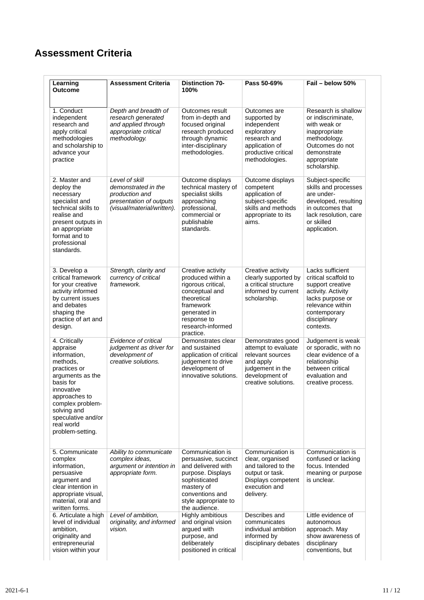## **Assessment Criteria**

| Learning<br><b>Outcome</b>                                                                                                                                                                                                       | <b>Assessment Criteria</b>                                                                                       | <b>Distinction 70-</b><br>100%                                                                                                                                                 | Pass 50-69%                                                                                                                            | Fail - below 50%                                                                                                                                                        |
|----------------------------------------------------------------------------------------------------------------------------------------------------------------------------------------------------------------------------------|------------------------------------------------------------------------------------------------------------------|--------------------------------------------------------------------------------------------------------------------------------------------------------------------------------|----------------------------------------------------------------------------------------------------------------------------------------|-------------------------------------------------------------------------------------------------------------------------------------------------------------------------|
| 1. Conduct<br>independent<br>research and<br>apply critical<br>methodologies<br>and scholarship to<br>advance your<br>practice                                                                                                   | Depth and breadth of<br>research generated<br>and applied through<br>appropriate critical<br>methodology.        | Outcomes result<br>from in-depth and<br>focused original<br>research produced<br>through dynamic<br>inter-disciplinary<br>methodologies.                                       | Outcomes are<br>supported by<br>independent<br>exploratory<br>research and<br>application of<br>productive critical<br>methodologies.  | Research is shallow<br>or indiscriminate,<br>with weak or<br>inappropriate<br>methodology.<br>Outcomes do not<br>demonstrate<br>appropriate<br>scholarship.             |
| 2. Master and<br>deploy the<br>necessary<br>specialist and<br>technical skills to<br>realise and<br>present outputs in<br>an appropriate<br>format and to<br>professional<br>standards.                                          | Level of skill<br>demonstrated in the<br>production and<br>presentation of outputs<br>(visual/material/written). | Outcome displays<br>technical mastery of<br>specialist skills<br>approaching<br>professional,<br>commercial or<br>publishable<br>standards.                                    | Outcome displays<br>competent<br>application of<br>subject-specific<br>skills and methods<br>appropriate to its<br>aims.               | Subject-specific<br>skills and processes<br>are under-<br>developed, resulting<br>in outcomes that<br>lack resolution, care<br>or skilled<br>application.               |
| 3. Develop a<br>critical framework<br>for your creative<br>activity informed<br>by current issues<br>and debates<br>shaping the<br>practice of art and<br>design.                                                                | Strength, clarity and<br>currency of critical<br>framework.                                                      | Creative activity<br>produced within a<br>rigorous critical,<br>conceptual and<br>theoretical<br>framework<br>generated in<br>response to<br>research-informed<br>practice.    | Creative activity<br>clearly supported by<br>a critical structure<br>informed by current<br>scholarship.                               | Lacks sufficient<br>critical scaffold to<br>support creative<br>activity. Activity<br>lacks purpose or<br>relevance within<br>contemporary<br>disciplinary<br>contexts. |
| 4. Critically<br>appraise<br>information,<br>methods,<br>practices or<br>arguments as the<br>basis for<br>innovative<br>approaches to<br>complex problem-<br>solving and<br>speculative and/or<br>real world<br>problem-setting. | Evidence of critical<br>judgement as driver for<br>development of<br>creative solutions.                         | Demonstrates clear<br>and sustained<br>application of critical<br>judgement to drive<br>development of<br>innovative solutions.                                                | Demonstrates good<br>attempt to evaluate<br>relevant sources<br>and apply<br>judgement in the<br>development of<br>creative solutions. | Judgement is weak<br>or sporadic, with no<br>clear evidence of a<br>relationship<br>between critical<br>evaluation and<br>creative process.                             |
| 5. Communicate<br>complex<br>information,<br>persuasive<br>argument and<br>clear intention in<br>appropriate visual,<br>material, oral and<br>written forms.                                                                     | Ability to communicate<br>complex ideas,<br>argument or intention in<br>appropriate form.                        | Communication is<br>persuasive, succinct<br>and delivered with<br>purpose. Displays<br>sophisticated<br>mastery of<br>conventions and<br>style appropriate to<br>the audience. | Communication is<br>clear, organised<br>and tailored to the<br>output or task.<br>Displays competent<br>execution and<br>delivery.     | Communication is<br>confused or lacking<br>focus. Intended<br>meaning or purpose<br>is unclear.                                                                         |
| 6. Articulate a high<br>level of individual<br>ambition,<br>originality and<br>entrepreneurial<br>vision within your                                                                                                             | Level of ambition,<br>originality, and informed<br>vision.                                                       | Highly ambitious<br>and original vision<br>argued with<br>purpose, and<br>deliberately<br>positioned in critical                                                               | Describes and<br>communicates<br>individual ambition<br>informed by<br>disciplinary debates                                            | Little evidence of<br>autonomous<br>approach. May<br>show awareness of<br>disciplinary<br>conventions, but                                                              |